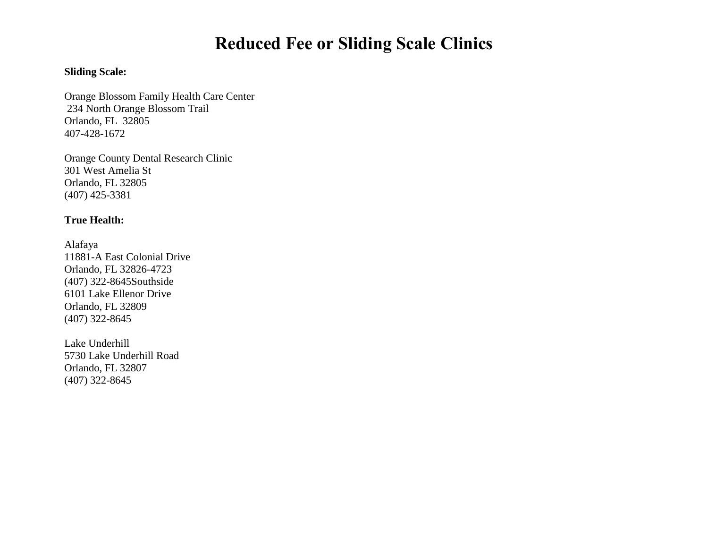# **Reduced Fee or Sliding Scale Clinics**

# **Sliding Scale:**

Orange Blossom Family Health Care Center 234 North Orange Blossom Trail Orlando, FL 32805 407-428-1672

Orange County Dental Research Clinic 301 West Amelia St Orlando, FL 32805 (407) 425-3381

### **True Health:**

[Alafaya](http://www.cffhc.org/index.php?option=com_content&view=article&id=6&catid=12) 11881-A East Colonial Drive Orlando, FL 32826-4723 (407) 322-864[5Southside](http://www.cffhc.org/index.php?option=com_content&view=article&id=9&catid=15) 6101 Lake Ellenor Drive Orlando, FL 32809 (407) 322-8645

[Lake Underhill](http://www.cffhc.org/index.php?option=com_content&view=article&id=8&catid=14) 5730 Lake Underhill Road Orlando, FL 32807 (407) 322-8645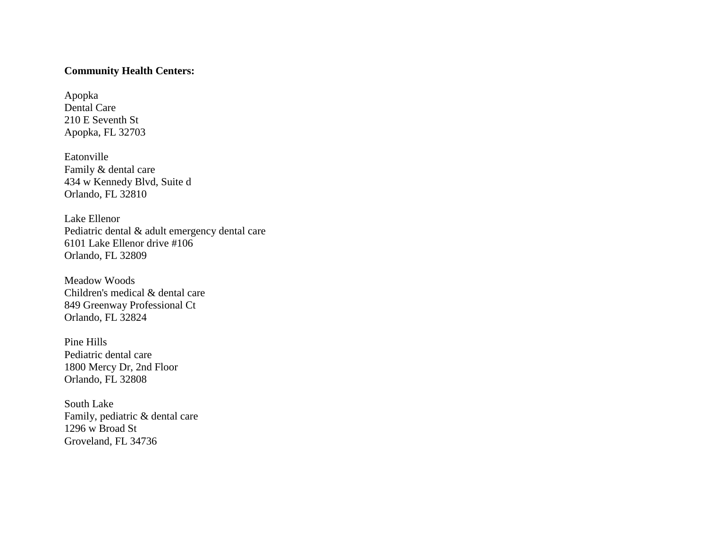#### **Community Health Centers:**

Apopka Dental Care 210 E Seventh St Apopka, FL 32703

[Eatonville](http://www.chcfl.org/locations/eatonville/) Family & dental care 434 w Kennedy Blvd, Suite d Orlando, FL 32810

Lake [Ellenor](http://www.chcfl.org/locations/lake-ellenor/) Pediatric dental & adult emergency dental care 6101 Lake Ellenor drive #106 Orlando, FL 32809

[Meadow](http://www.chcfl.org/locations/meadow-woods/) Woods Children's medical & dental care 849 Greenway Professional Ct Orlando, FL 32824

Pine [Hills](http://www.chcfl.org/locations/pine-hills/) Pediatric dental care 1800 Mercy Dr, 2nd Floor Orlando, FL 32808

[South](http://www.chcfl.org/locations/south-lake/) Lake Family, pediatric & dental care 1296 w Broad St Groveland, FL 34736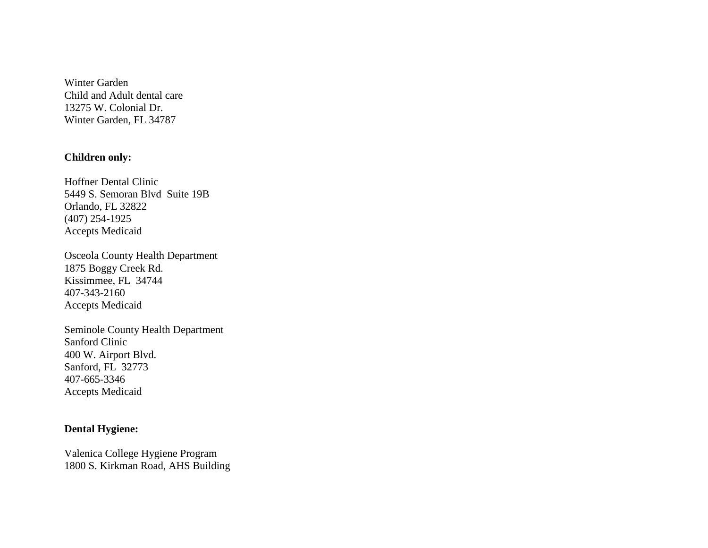Winter [Garden](http://www.chcfl.org/locations/winter-garden/) Child and Adult dental care 13275 W. Colonial Dr. Winter Garden, FL 34787

#### **Children only:**

Hoffner Dental Clinic 5449 S. Semoran Blvd Suite 19B Orlando, FL 32822 (407) 254-1925 Accepts Medicaid

Osceola County Health Department 1875 Boggy Creek Rd. Kissimmee, FL 34744 407-343-2160 Accepts Medicaid

Seminole County Health Department Sanford Clinic 400 W. Airport Blvd. Sanford, FL 32773 407-665-3346 Accepts Medicaid

#### **Dental Hygiene:**

Valenica College Hygiene Program 1800 S. Kirkman Road, AHS Building